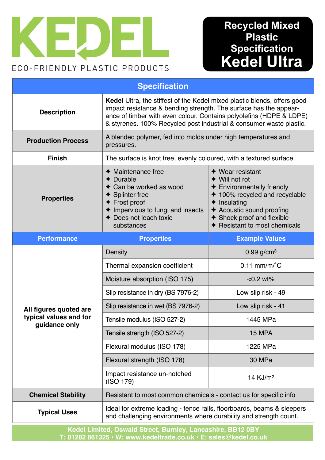

# **Recycled Mixed 3lastic Specification Kedel Ultra**

| <b>Specification</b>                                              |                                                                                                                                                                                                                                                                                             |                                                                                                                                                                                                                                        |
|-------------------------------------------------------------------|---------------------------------------------------------------------------------------------------------------------------------------------------------------------------------------------------------------------------------------------------------------------------------------------|----------------------------------------------------------------------------------------------------------------------------------------------------------------------------------------------------------------------------------------|
| <b>Description</b>                                                | Kedel Ultra, the stiffest of the Kedel mixed plastic blends, offers good<br>impact resistance & bending strength. The surface has the appear-<br>ance of timber with even colour. Contains polyolefins (HDPE & LDPE)<br>& styrenes. 100% Recycled post industrial & consumer waste plastic. |                                                                                                                                                                                                                                        |
| <b>Production Process</b>                                         | A blended polymer, fed into molds under high temperatures and<br>pressures.                                                                                                                                                                                                                 |                                                                                                                                                                                                                                        |
| <b>Finish</b>                                                     | The surface is knot free, evenly coloured, with a textured surface.                                                                                                                                                                                                                         |                                                                                                                                                                                                                                        |
| <b>Properties</b>                                                 | $\triangleleft$ Maintenance free<br>$\triangle$ Durable<br>Can be worked as wood<br><b>Splinter free</b><br>$\triangle$ Frost proof<br>← Impervious to fungi and insects<br>← Does not leach toxic<br>substances                                                                            | $\blacklozenge$ Wear resistant<br>◆ Will not rot<br>← Environmentally friendly<br>← 100% recycled and recyclable<br>$\triangle$ Insulating<br>← Acoustic sound proofing<br>◆ Shock proof and flexible<br>← Resistant to most chemicals |
| <b>Performance</b>                                                | <b>Properties</b>                                                                                                                                                                                                                                                                           | <b>Example Values</b>                                                                                                                                                                                                                  |
| All figures quoted are<br>typical values and for<br>guidance only | Density                                                                                                                                                                                                                                                                                     | $0.99$ g/cm <sup>3</sup>                                                                                                                                                                                                               |
|                                                                   | Thermal expansion coefficient                                                                                                                                                                                                                                                               | $0.11$ mm/m/ $\degree$ C                                                                                                                                                                                                               |
|                                                                   | Moisture absorption (ISO 175)                                                                                                                                                                                                                                                               | $< 0.2$ wt%                                                                                                                                                                                                                            |
|                                                                   | Slip resistance in dry (BS 7976-2)                                                                                                                                                                                                                                                          | Low slip risk - 49                                                                                                                                                                                                                     |
|                                                                   | Slip resistance in wet (BS 7976-2)                                                                                                                                                                                                                                                          | Low slip risk - 41                                                                                                                                                                                                                     |
|                                                                   | Tensile modulus (ISO 527-2)                                                                                                                                                                                                                                                                 | 1445 MPa                                                                                                                                                                                                                               |
|                                                                   | Tensile strength (ISO 527-2)                                                                                                                                                                                                                                                                | <b>15 MPA</b>                                                                                                                                                                                                                          |
|                                                                   | Flexural modulus (ISO 178)                                                                                                                                                                                                                                                                  | 1225 MPa                                                                                                                                                                                                                               |
|                                                                   | Flexural strength (ISO 178)                                                                                                                                                                                                                                                                 | 30 MPa                                                                                                                                                                                                                                 |
|                                                                   | Impact resistance un-notched<br>(ISO 179)                                                                                                                                                                                                                                                   | 14 KJ/m <sup>2</sup>                                                                                                                                                                                                                   |
| <b>Chemical Stability</b>                                         | Resistant to most common chemicals - contact us for specific info                                                                                                                                                                                                                           |                                                                                                                                                                                                                                        |
| <b>Typical Uses</b>                                               | Ideal for extreme loading - fence rails, floorboards, beams & sleepers<br>and challenging environments where durability and strength count.                                                                                                                                                 |                                                                                                                                                                                                                                        |